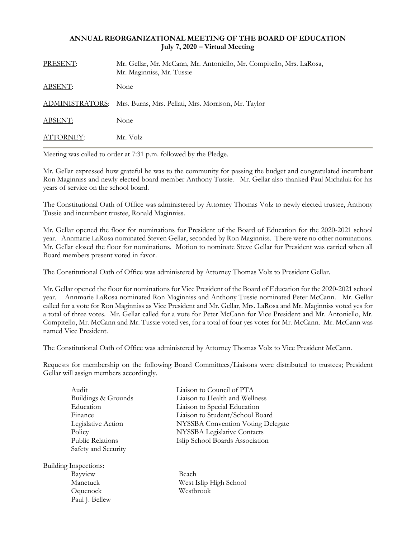## **ANNUAL REORGANIZATIONAL MEETING OF THE BOARD OF EDUCATION July 7, 2020 – Virtual Meeting**

| PRESENT:       | Mr. Gellar, Mr. McCann, Mr. Antoniello, Mr. Compitello, Mrs. LaRosa,<br>Mr. Maginniss, Mr. Tussie |
|----------------|---------------------------------------------------------------------------------------------------|
| ABSENT:        | None                                                                                              |
|                | ADMINISTRATORS: Mrs. Burns, Mrs. Pellati, Mrs. Morrison, Mr. Taylor                               |
| <b>ABSENT:</b> | None                                                                                              |
| ATTORNEY:      | Mr. Volz                                                                                          |

Meeting was called to order at 7:31 p.m. followed by the Pledge.

Mr. Gellar expressed how grateful he was to the community for passing the budget and congratulated incumbent Ron Maginniss and newly elected board member Anthony Tussie. Mr. Gellar also thanked Paul Michaluk for his years of service on the school board.

The Constitutional Oath of Office was administered by Attorney Thomas Volz to newly elected trustee, Anthony Tussie and incumbent trustee, Ronald Maginniss.

Mr. Gellar opened the floor for nominations for President of the Board of Education for the 2020-2021 school year. Annmarie LaRosa nominated Steven Gellar, seconded by Ron Maginniss. There were no other nominations. Mr. Gellar closed the floor for nominations. Motion to nominate Steve Gellar for President was carried when all Board members present voted in favor.

The Constitutional Oath of Office was administered by Attorney Thomas Volz to President Gellar.

Mr. Gellar opened the floor for nominations for Vice President of the Board of Education for the 2020-2021 school year. Annmarie LaRosa nominated Ron Maginniss and Anthony Tussie nominated Peter McCann. Mr. Gellar called for a vote for Ron Maginniss as Vice President and Mr. Gellar, Mrs. LaRosa and Mr. Maginniss voted yes for a total of three votes. Mr. Gellar called for a vote for Peter McCann for Vice President and Mr. Antoniello, Mr. Compitello, Mr. McCann and Mr. Tussie voted yes, for a total of four yes votes for Mr. McCann. Mr. McCann was named Vice President.

The Constitutional Oath of Office was administered by Attorney Thomas Volz to Vice President McCann.

Requests for membership on the following Board Committees/Liaisons were distributed to trustees; President Gellar will assign members accordingly.

| Audit                        | Liaison to Council of PTA         |
|------------------------------|-----------------------------------|
| Buildings & Grounds          | Liaison to Health and Wellness    |
| Education                    | Liaison to Special Education      |
| Finance                      | Liaison to Student/School Board   |
| Legislative Action           | NYSSBA Convention Voting Delegate |
| Policy                       | NYSSBA Legislative Contacts       |
| Public Relations             | Islip School Boards Association   |
| Safety and Security          |                                   |
| <b>Building Inspections:</b> |                                   |
| Bayview                      | Beach                             |
| Manetuck                     | West Islip High School            |
| Oquenock                     | Westbrook                         |

Paul J. Bellew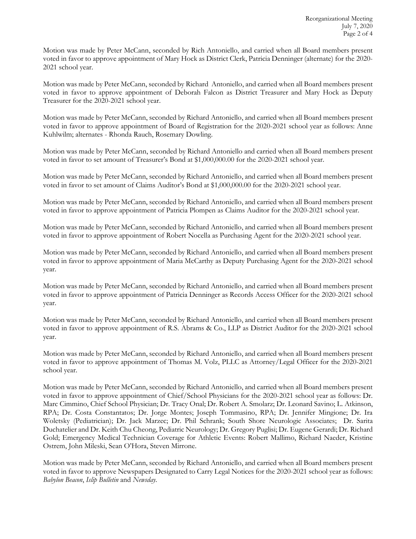Motion was made by Peter McCann, seconded by Rich Antoniello, and carried when all Board members present voted in favor to approve appointment of Mary Hock as District Clerk, Patricia Denninger (alternate) for the 2020- 2021 school year.

Motion was made by Peter McCann, seconded by Richard Antoniello, and carried when all Board members present voted in favor to approve appointment of Deborah Falcon as District Treasurer and Mary Hock as Deputy Treasurer for the 2020-2021 school year.

Motion was made by Peter McCann, seconded by Richard Antoniello, and carried when all Board members present voted in favor to approve appointment of Board of Registration for the 2020-2021 school year as follows: Anne Kuhlwilm; alternates - Rhonda Rauch, Rosemary Dowling.

Motion was made by Peter McCann, seconded by Richard Antoniello and carried when all Board members present voted in favor to set amount of Treasurer's Bond at \$1,000,000.00 for the 2020-2021 school year.

Motion was made by Peter McCann, seconded by Richard Antoniello, and carried when all Board members present voted in favor to set amount of Claims Auditor's Bond at \$1,000,000.00 for the 2020-2021 school year.

Motion was made by Peter McCann, seconded by Richard Antoniello, and carried when all Board members present voted in favor to approve appointment of Patricia Plompen as Claims Auditor for the 2020-2021 school year.

Motion was made by Peter McCann, seconded by Richard Antoniello, and carried when all Board members present voted in favor to approve appointment of Robert Nocella as Purchasing Agent for the 2020-2021 school year.

Motion was made by Peter McCann, seconded by Richard Antoniello, and carried when all Board members present voted in favor to approve appointment of Maria McCarthy as Deputy Purchasing Agent for the 2020-2021 school year.

Motion was made by Peter McCann, seconded by Richard Antoniello, and carried when all Board members present voted in favor to approve appointment of Patricia Denninger as Records Access Officer for the 2020-2021 school year.

Motion was made by Peter McCann, seconded by Richard Antoniello, and carried when all Board members present voted in favor to approve appointment of R.S. Abrams & Co., LLP as District Auditor for the 2020-2021 school year.

Motion was made by Peter McCann, seconded by Richard Antoniello, and carried when all Board members present voted in favor to approve appointment of Thomas M. Volz, PLLC as Attorney/Legal Officer for the 2020-2021 school year.

Motion was made by Peter McCann, seconded by Richard Antoniello, and carried when all Board members present voted in favor to approve appointment of Chief/School Physicians for the 2020-2021 school year as follows: Dr. Marc Cimmino, Chief School Physician; Dr. Tracy Onal; Dr. Robert A. Smolarz; Dr. Leonard Savino; L. Atkinson, RPA; Dr. Costa Constantatos; Dr. Jorge Montes; Joseph Tommasino, RPA; Dr. Jennifer Mingione; Dr. Ira Woletsky (Pediatrician); Dr. Jack Marzec; Dr. Phil Schrank; South Shore Neurologic Associates; Dr. Sarita Duchatelier and Dr. Keith Chu Cheong, Pediatric Neurology; Dr. Gregory Puglisi; Dr. Eugene Gerardi; Dr. Richard Gold; Emergency Medical Technician Coverage for Athletic Events: Robert Mallimo, Richard Naeder, Kristine Ostrem, John Mileski, Sean O'Hora, Steven Mirrone.

Motion was made by Peter McCann, seconded by Richard Antoniello, and carried when all Board members present voted in favor to approve Newspapers Designated to Carry Legal Notices for the 2020-2021 school year as follows: *Babylon Beacon*, *Islip Bulletin* and *Newsday*.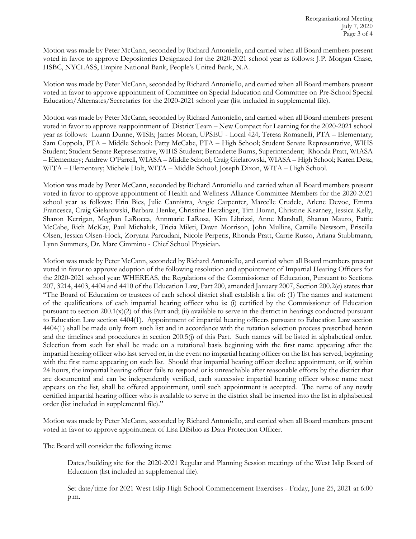Motion was made by Peter McCann, seconded by Richard Antoniello, and carried when all Board members present voted in favor to approve Depositories Designated for the 2020-2021 school year as follows: J.P. Morgan Chase, HSBC, NYCLASS, Empire National Bank, People's United Bank, N.A.

Motion was made by Peter McCann, seconded by Richard Antoniello, and carried when all Board members present voted in favor to approve appointment of Committee on Special Education and Committee on Pre-School Special Education/Alternates/Secretaries for the 2020-2021 school year (list included in supplemental file).

Motion was made by Peter McCann, seconded by Richard Antoniello, and carried when all Board members present voted in favor to approve reappointment of District Team – New Compact for Learning for the 2020-2021 school year as follows: Luann Dunne, WISE; James Moran, UPSEU - Local 424; Teresa Romanelli, PTA – Elementary; Sam Coppola, PTA – Middle School; Patty McCabe, PTA – High School; Student Senate Representative, WIHS Student; Student Senate Representative, WIHS Student; Bernadette Burns, Superintendent; Rhonda Pratt, WIASA – Elementary; Andrew O'Farrell, WIASA – Middle School; Craig Gielarowski, WIASA – High School; Karen Desz, WITA – Elementary; Michele Holt, WITA – Middle School; Joseph Dixon, WITA – High School.

Motion was made by Peter McCann, seconded by Richard Antoniello and carried when all Board members present voted in favor to approve appointment of Health and Wellness Alliance Committee Members for the 2020-2021 school year as follows: Erin Bies, Julie Cannistra, Angie Carpenter, Marcelle Crudele, Arlene Devoe, Emma Francesca, Craig Gielarowski, Barbara Henke, Christine Herzlinger, Tim Horan, Christine Kearney, Jessica Kelly, Sharon Kerrigan, Meghan LaRocca, Annmarie LaRosa, Kim Librizzi, Anne Marshall, Shanan Mauro, Pattie McCabe, Rich McKay, Paul Michaluk, Tricia Mileti, Dawn Morrison, John Mullins, Camille Newsom, Priscilla Olsen, Jessica Olsen-Hock, Zoryana Parcudani, Nicole Perperis, Rhonda Pratt, Carrie Russo, Ariana Stubbmann, Lynn Summers, Dr. Marc Cimmino - Chief School Physician*.*

Motion was made by Peter McCann, seconded by Richard Antoniello, and carried when all Board members present voted in favor to approve adoption of the following resolution and appointment of Impartial Hearing Officers for the 2020-2021 school year: WHEREAS, the Regulations of the Commissioner of Education, Pursuant to Sections 207, 3214, 4403, 4404 and 4410 of the Education Law, Part 200, amended January 2007, Section 200.2(e) states that "The Board of Education or trustees of each school district shall establish a list of: (1) The names and statement of the qualifications of each impartial hearing officer who is: (i) certified by the Commissioner of Education pursuant to section  $200.1(x)(2)$  of this Part and; (ii) available to serve in the district in hearings conducted pursuant to Education Law section 4404(1). Appointment of impartial hearing officers pursuant to Education Law section 4404(1) shall be made only from such list and in accordance with the rotation selection process prescribed herein and the timelines and procedures in section 200.5(j) of this Part. Such names will be listed in alphabetical order. Selection from such list shall be made on a rotational basis beginning with the first name appearing after the impartial hearing officer who last served or, in the event no impartial hearing officer on the list has served, beginning with the first name appearing on such list. Should that impartial hearing officer decline appointment, or if, within 24 hours, the impartial hearing officer fails to respond or is unreachable after reasonable efforts by the district that are documented and can be independently verified, each successive impartial hearing officer whose name next appears on the list, shall be offered appointment, until such appointment is accepted. The name of any newly certified impartial hearing officer who is available to serve in the district shall be inserted into the list in alphabetical order (list included in supplemental file)."

Motion was made by Peter McCann, seconded by Richard Antoniello, and carried when all Board members present voted in favor to approve appointment of Lisa DiSibio as Data Protection Officer.

The Board will consider the following items:

Dates/building site for the 2020-2021 Regular and Planning Session meetings of the West Islip Board of Education (list included in supplemental file).

Set date/time for 2021 West Islip High School Commencement Exercises - Friday, June 25, 2021 at 6:00 p.m.